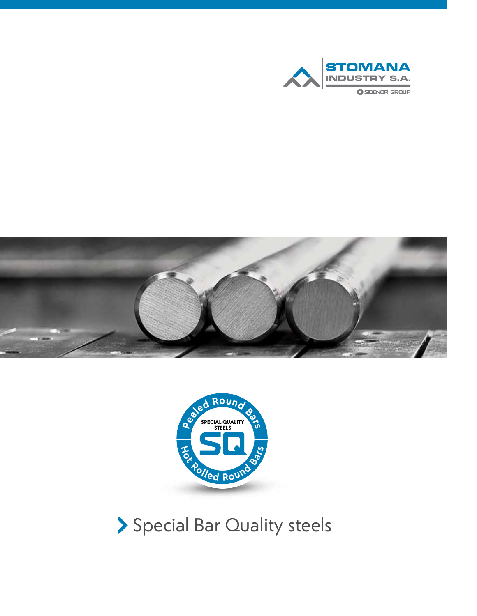





Special Bar Quality steels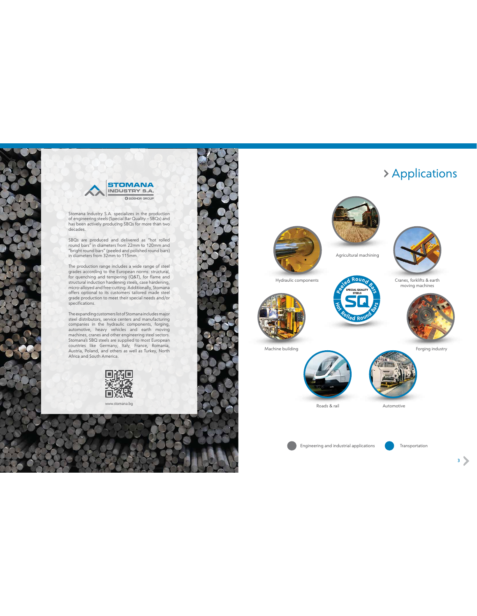



Stomana Industry S.A. specializes in the production of engineering steels (Special Bar Quality – SBQs) and has been actively producing SBQs for more than two decades.

SBQs are produced and delivered as "hot rolled round bars" in diameters from 22mm to 120mm and "bright round bars" (peeled and polished round bars) in diameters from 32mm to 115mm.

The production range includes a wide range of steel grades according to the European norms: structural, for quenching and tempering (Q&T), for flame and structural induction hardening steels, case hardening, micro-alloyed and free-cutting. Additionally, Stomana offers optional to its customers tailored made steel grade production to meet their special needs and/or specifications.

The expanding customers list of Stomana includes major steel distributors, service centers and manufacturing companies in the hydraulic components, forging, automotive, heavy vehicles and earth moving<br>machines,cranes and other englineering steel sectors.<br>Stomana's SBQ steels are supplied to most European<br>countries like Germany, Italy, France, Romania,<br>Austria, Poland, and othe Africa and South America.



www.stomana.bg



### Applications







moving machines









Forging industry

Machine building



Roads & rail Automotive

Engineering and industrial applications **Transportation** 

2 3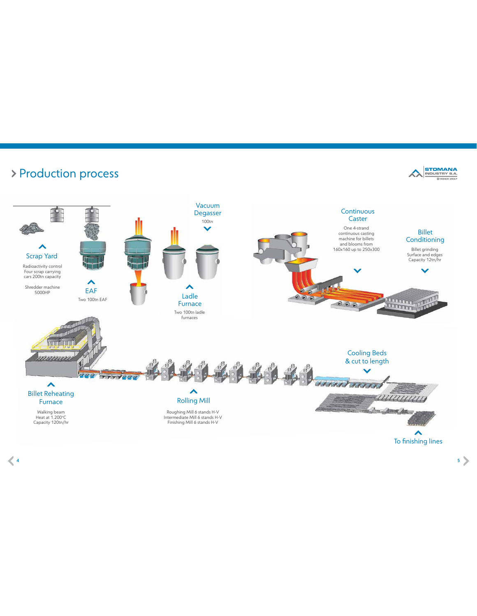

experimental and the set of the set of the set of the set of the set of the set of the set of the set of the set of the set of the set of the set of the set of the set of the set of the set of the set of the set of the set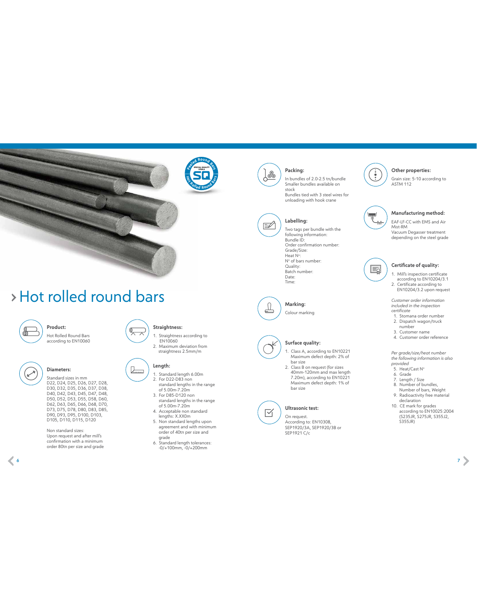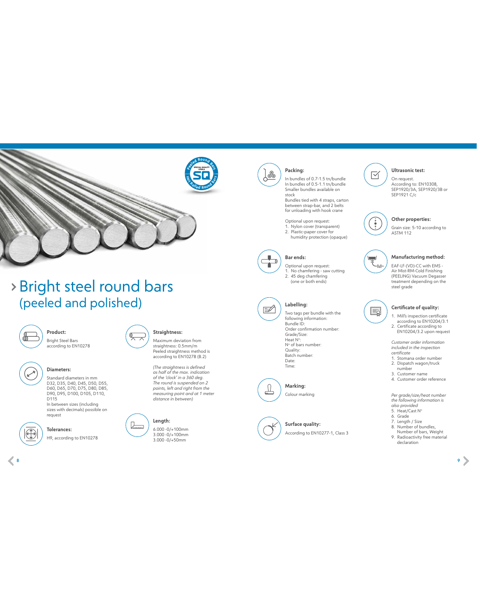

### Bright steel round bars (peeled and polished)



Bright Steel Bars according to EN10278 **Product: Straightness:** 

#### **Diameters:**

Standard diameters in mm D32, D35, D40, D45, D50, D55, D60, D65, D70, D75, D80, D85, D90, D95, D100, D105, D110, D115

In between sizes (including sizes with decimals) possible on request



### **Tolerances:**

Η9, according to EN10278

Maximum deviation from straightness: 0.5mm/m Peeled straightness method is according to EN10278 (B.2)

*(The straightness is defined as half of the max. indication of the 'clock' in a 360 deg. The round is suspended on 2 points, left and right from the measuring point and at 1 meter distance in between)*



広



6.000 -0/+100mm



### **Packing:**

In bundles of 0.7-1.5 tn/bundle In bundles of 0.5-1.1 tn/bundle Smaller bundles available on stock

Bundles tied with 4 straps, carton between strap-bar, and 2 belts for unloading with hook crane

- Optional upon request: 1. Νylon cover (transparent)
- 2. Plastic-paper cover for humidity protection (opaque)



Optional upon request: 1. No chamfering - saw cutting 2. 45 deg chamfering (one or both ends)



# **Labelling:**

Two tags per bundle with the following information: Bundle ID: Order confirmation number: Grade/Size: Heat N°: N o of bars number: Quality: Batch number: Date: Time:

According to EN10277-1, Class 3

Colour marking **Marking:**

**Surface quality:** 





#### **Ultrasonic test:**

On request. According to: EN10308, SEP1920/3A, SEP1920/3B or SEP1921 C/c



 $\boxtimes$ 

#### **Other properties:**

Grain size: 5-10 according to ASTM 112

#### **Manufacturing method:**   $\frac{0}{000}$

EAF-LF-(VD)-CC with EMS - Air Mist-RM-Cold Finishing (PEELING) Vacuum Degasser treatment depending on the steel grade



#### **Certificate of quality:**

1. Mill's inspection certificate according to EN10204/3.1 2. Certificate according to EN10204/3.2 upon request

*Customer order information included in the inspection certificate*

- 1. Stomana order number 2. Dispatch wagon/truck number 3. Customer name
- 4. Customer order reference

*Per grade/size/heat number the following information is* 

- *also provided*<br>5. Heat/Cast N°
- 6. Grade 7. Length / Size
- 8. Number of bundles, Number of bars, Weight
- 9. Radioactivity free material declaration





 $\leq$  8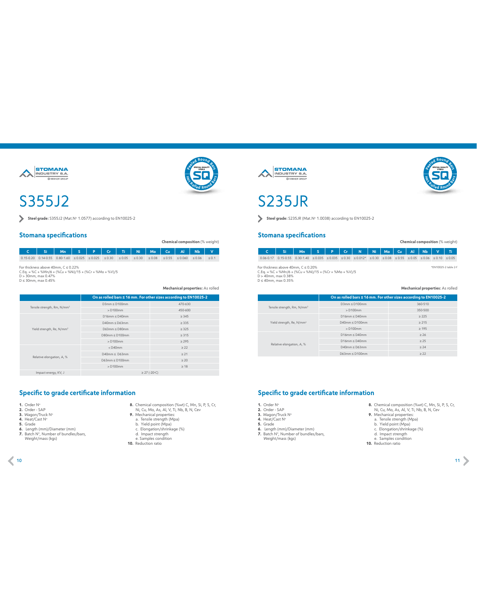



### S355J2

Steel grade: S355J2 (Mat.No 1.0577) according to EN10025-2

#### **Stomana specifications**

**Chemical composition** (% weight)

**C Si Mn S P Сr Ti Ni Mo Cu Al Nb V** 0.15-0.20 0.14-0.55 0.80-1.60 ≤ 0.025 ≤ 0.025 ≤ 0.30 ≤ 0.05 ≤ 0.08 ≤ 0.08 ≤ 0.55 ≤ 0.060 ≤ 0.06 ≤ 0.1

For thickness above 40mm, C ≤ 0.22%<br>C.Eq. = %C + %Mn/6 + (%Cu + %Ni)/15 + (%Cr + %Mo + %V)/5<br>D ≤ 30mm, max 0.45%<br>D ≤ 30mm, max 0.45%

**Mechanical properties:** As rolled

|                                         |                     | On as rolled bars ≤ 16 mm. For other sizes according to EN10025-2 |  |  |  |  |  |
|-----------------------------------------|---------------------|-------------------------------------------------------------------|--|--|--|--|--|
| Tensile strength, Rm, N/mm <sup>2</sup> | $D3mm \leq D100mm$  | 470-630                                                           |  |  |  |  |  |
|                                         | $>$ D100 $mm$       | 450-600                                                           |  |  |  |  |  |
|                                         | $D16mm \leq D40mm$  | $\geq$ 345                                                        |  |  |  |  |  |
|                                         | $D40mm \leq D63mm$  | > 335                                                             |  |  |  |  |  |
| Yield strength, Re, N/mm <sup>2</sup>   | $D63mm \leq D80mm$  | $\geq$ 325                                                        |  |  |  |  |  |
|                                         | $D80mm \leq D100mm$ | > 315                                                             |  |  |  |  |  |
|                                         | $>$ D100 $mm$       | $\geq$ 295                                                        |  |  |  |  |  |
|                                         | $<$ D40 $mm$        | $\geq$ 22                                                         |  |  |  |  |  |
|                                         | $D40mm \leq D63mm$  | $\geq 21$                                                         |  |  |  |  |  |
| Relative elongation, A, %               | $D63mm \leq D100mm$ | $\geq 20$                                                         |  |  |  |  |  |
|                                         | $>$ D100 $mm$       | $\geq 18$                                                         |  |  |  |  |  |
| Impact energy, KV, J                    | $\geq$ 27 (-20 °C)  |                                                                   |  |  |  |  |  |

#### **Specific to grade certificate information**

- 
- 
- 
- 
- 
- **1.** Order N°<br>**3.** Vrder SAP<br>**4.** Heat/Cast N°<br>**4.** Heat/Cast N°<br>**6.** Length (mm)/Diameter (mm)<br>**7.** Batch N°, Number of bundles/bars, Weight/mass (kgs)
- **8.** Chemical composition (%wt) C, Mn, Si, P, S, Cr, Ni, Cu, Mo, As, Al, V, Ti, Nb, B, N, Cev **9.** Mechanical properties:
- 
- a. Tensile strength (Mpa) b. Yield point (Mpa) c. Elongation/shrinkage (%) d. Impact strength e. Samples condition
- 
- 
- **10.** Reduction ratio







**Steel grade:** S235JR (Mat.N° 1.0038) according to EN10025-2

#### **Stomana specifications**

**Chemical composition** (% weight)

**SPECIAL QUALITY STEELS <sup>e</sup>ele<sup>d</sup> <sup>R</sup>ou<sup>n</sup><sup>d</sup> <sup>B</sup>ar<sup>s</sup>**

**<sup>H</sup>o<sup>t</sup> <sup>R</sup>olle<sup>d</sup> <sup>R</sup>oun<sup>d</sup> <sup>B</sup>ar<sup>s</sup>**

 \*EN10025-2 table 2-f **C Si Mn S P Сr N Ni Mo Cu Al Nb V Ti**  $0.06 \cdot 0.17 \left( \begin{array}{ccccc} 0.15 \cdot 0.55 & 0.30 \cdot 1.40 & \text{\textit{p}} \leq 0.035 & \text{\textit{p}} \leq 0.30 & \text{\textit{p}} \leq 0.012^{*} & \text{\textit{p}} \leq 0.08 & \text{\textit{p}} \leq 0.55 & \text{\textit{p}} \leq 0.06 & \text{\textit{p}} \leq 0.10 & \text{\textit{p}} \leq 0.05 \end{array} \right)$ 

For thickness above 40mm, C ≤ 0.20%<br>C.Eq. = %C + %Mn/6 + (%Cu + %Ni)/15 + (%Cr + %Mo + %V)/5<br>D ≤ 40mm, max 0.35%<br>D ≤ 40mm, max 0.35%

#### **Mechanical properties:** As rolled

|                                         | On as rolled bars ≤ 16 mm. For other sizes according to EN10025-2 |            |  |  |  |  |  |  |
|-----------------------------------------|-------------------------------------------------------------------|------------|--|--|--|--|--|--|
|                                         | $D3mm \leq D100mm$                                                | 360-510    |  |  |  |  |  |  |
| Tensile strength, Rm, N/mm <sup>2</sup> | $> 0.100$ mm                                                      | 350-500    |  |  |  |  |  |  |
|                                         | $D16mm \leq D40mm$                                                | $\geq$ 225 |  |  |  |  |  |  |
| Yield strength, Re, N/mm <sup>2</sup>   | $D40mm \leq D100mm$                                               | $\geq$ 215 |  |  |  |  |  |  |
|                                         | > 0100mm                                                          | $\geq 195$ |  |  |  |  |  |  |
|                                         | $D16mm \leq D40mm$                                                | $\geq 26$  |  |  |  |  |  |  |
|                                         | $D16mm \leq D40mm$                                                | $\geq$ 25  |  |  |  |  |  |  |
| Relative elongation, A, %               | $D40mm \leq D63mm$                                                | $\geq 24$  |  |  |  |  |  |  |
|                                         | $D63mm \leq D100mm$                                               | $\geq$ 22  |  |  |  |  |  |  |

- 
- **1.** Order N°<br>**2.** Order SAP<br>**3.** Wagon/Truck N°<br>**4.** Heat/Cast N°
- 
- - **5.** Grade<br>**6.** Length (mm)/Diameter (mm)<br>**7.** Batch N°, Number of bundles/bars,
	- Weight/mass (kgs)
- **8.** Chemical composition (%wt) C, Mn, Si, P, S, Cr, Chemical properties:<br> **9.** Mi, Cu, Mo, As, Al, V, Ti, Nb, B, N, Cev<br> **9.** Mechanical properties:<br>
a. Tensile strength (Mpa)<br>
c. Elongation/shrinkage (%)<br>
d. Impact stre
	-
	-
	-
	-
- **10.** Reduction ratio
- 10 11
-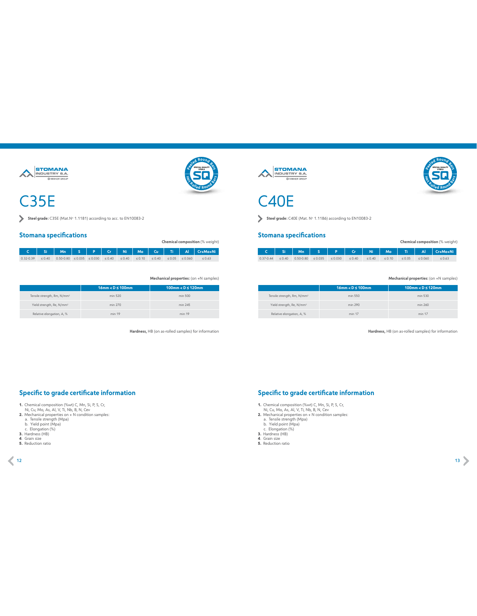

### C35E

Steel grade: C35E (Mat.Nº 1.1181) according to acc. to EN10083-2

#### **Stomana specifications**

**Chemical composition** (% weight)

|                                                                                                                                                                |  |  |  |  |  | C   Si   Mn   S   P   Cr   Ni   Mo   Cu   Ti   Al   Cr+Mo+Ni |
|----------------------------------------------------------------------------------------------------------------------------------------------------------------|--|--|--|--|--|--------------------------------------------------------------|
| $0.32 \cdot 0.39$ $\leq 0.40$ $0.50 \cdot 0.80$ $\leq 0.035$ $\leq 0.030$ $\leq 0.40$ $\leq 0.40$ $\leq 0.10$ $\leq 0.40$ $\leq 0.05$ $\leq 0.060$ $\leq 0.63$ |  |  |  |  |  |                                                              |

**Mechanical properties:** (on +N samples)

|                                         | $16$ mm < $D \le 100$ mm | $100$ mm < $D \le 120$ mm |
|-----------------------------------------|--------------------------|---------------------------|
| Tensile strength, Rm, N/mm <sup>2</sup> | min 520                  | min 500                   |
| Yield strength, Re, N/mm <sup>2</sup>   | min 270                  | min 245                   |
| Relative elongation, A, %               | min 19                   | min 19                    |

**Hardness,** HB (on as-rolled samples) for information





### C40E

Steel grade: C40E (Mat. N° 1.1186) according to EN10083-2

#### **Stomana specifications**

| Chemical composition (% weight) |  |                                                                                                                                |  |  |  |  |  |  |  |                                                           |  |  |
|---------------------------------|--|--------------------------------------------------------------------------------------------------------------------------------|--|--|--|--|--|--|--|-----------------------------------------------------------|--|--|
|                                 |  |                                                                                                                                |  |  |  |  |  |  |  | │ C │ Si │ Mn │ S │ P │ Cr │ Ni │ Mo │ Ti │ AI │Cr+Mo+Ni│ |  |  |
|                                 |  | $0.37 - 0.44$ $\leq 0.40$ $0.50 - 0.80$ $\leq 0.035$ $\leq 0.030$ $\leq 0.40$ $\leq 0.40$ $\leq 0.10$ $\leq 0.05$ $\leq 0.060$ |  |  |  |  |  |  |  | $\leq 0.63$                                               |  |  |

#### **Mechanical properties:** (on +N samples)

|                                         | $16$ mm < $D \le 100$ mm | $100$ mm < $D \le 120$ mm |
|-----------------------------------------|--------------------------|---------------------------|
| Tensile strength, Rm, N/mm <sup>2</sup> | min 550                  | min 530                   |
| Yield strength, Re, N/mm <sup>2</sup>   | min 290                  | min 260                   |
| Relative elongation, A, %               | min 17                   | min 17                    |

**Hardness,** HB (on as-rolled samples) for information

#### **Specific to grade certificate information**

- 
- 1. Chemical composition (%wt) C, Mn, Si, P, S, Cr,<br>
Ni, Cu, Mo, As, Al, V, Ti, Nb, B, N, Cev<br>
2. Mechanical properties on + N condition samples:<br>
a. Tensile strength (Mpa)<br>
b. Yield point (Mpa)<br>
b. C. Elongation (%)<br>
3. Ha
- 
- 
- 
- 
- 
- 

- 
- **1.** Chemical composition (%wt) C, Mn, Si, P, S, Cr,<br>
Ni, Cu, Mo, As, Al, V, Ti, Nb, B, N, Cev<br> **2.** Mechanical properties on + N condition samples:<br>
a. Tensile strength (Mpa)<br>
b. Yield point (Mpa)<br>
c. Elongation (%)<br> **2.**
- 
- 
- 
- 
- **5.** Reduction ratio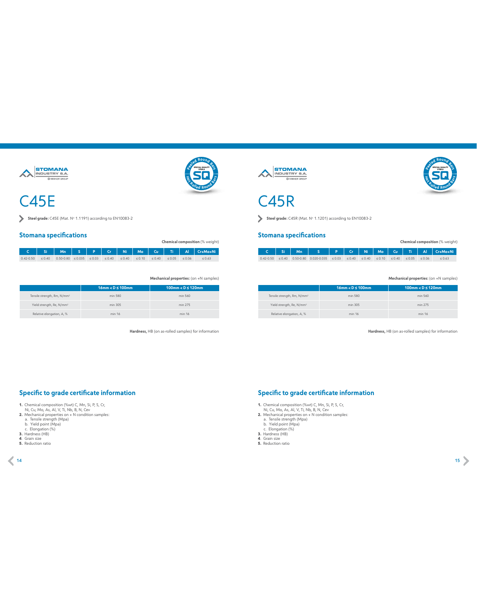

### C45E

Steel grade: C45E (Mat. Nº 1.1191) according to EN10083-2

#### **Stomana specifications**

**Chemical composition** (% weight)

|                                                                                                                                                              |  |  |  |  |  | C   Si   Mn   S   P   Cr   Ni   Mo   Cu   Ti   Al   Cr+Mo+Ni |
|--------------------------------------------------------------------------------------------------------------------------------------------------------------|--|--|--|--|--|--------------------------------------------------------------|
| $0.42 \cdot 0.50$ $\leq 0.40$ $0.50 \cdot 0.80$ $\leq 0.035$ $\leq 0.03$ $\leq 0.40$ $\leq 0.40$ $\leq 0.10$ $\leq 0.40$ $\leq 0.05$ $\leq 0.06$ $\leq 0.63$ |  |  |  |  |  |                                                              |

**Mechanical properties:** (on +N samples)

|                                         | $16$ mm < $D \le 100$ mm | $100$ mm < $D \le 120$ mm |
|-----------------------------------------|--------------------------|---------------------------|
| Tensile strength, Rm, N/mm <sup>2</sup> | min 580                  | min 560                   |
| Yield strength, Re, N/mm <sup>2</sup>   | min 305                  | min 275                   |
| Relative elongation, A, %               | min 16                   | min 16                    |

**Hardness,** HB (on as-rolled samples) for information





### C45R

**Steel grade:** C45R (Mat. No 1.1201) according to EN10083-2

#### **Stomana specifications**

|  |                                                                                                                                      |  |  |  | C Si Mn S P Cr Ni Mo Cu Ti Al Cr+Mo+Ni |
|--|--------------------------------------------------------------------------------------------------------------------------------------|--|--|--|----------------------------------------|
|  | $0.42 - 0.50$ $\leq 0.40$ 0.50 0.030 0.020 0.035 $\leq 0.03$ $\leq 0.40$ $\leq 0.40$ $\leq 0.10$ $\leq 0.40$ $\leq 0.05$ $\leq 0.06$ |  |  |  | 50.63                                  |

#### **Mechanical properties:** (on +N samples)

**Chemical composition** (% weight)

|                                         | $16$ mm < $D \le 100$ mm | $100$ mm < $D \le 120$ mm |
|-----------------------------------------|--------------------------|---------------------------|
| Tensile strength, Rm, N/mm <sup>2</sup> | min 580                  | min 560                   |
| Yield strength, Re, N/mm <sup>2</sup>   | min 305                  | min 275                   |
| Relative elongation, A, %               | min 16                   | min 16                    |

**Hardness,** HB (on as-rolled samples) for information

#### **Specific to grade certificate information**

- 
- 1. Chemical composition (%wt) C, Mn, Si, P, S, Cr,<br>
Ni, Cu, Mo, As, Al, V, Ti, Nb, B, N, Cev<br>
2. Mechanical properties on + N condition samples:<br>
a. Tensile strength (Mpa)<br>
b. Yield point (Mpa)<br>
b. C. Elongation (%)<br>
3. Ha
- 
- 
- 
- 
- 
- 

- 
- **1.** Chemical composition (%wt) C, Mn, Si, P, S, Cr,<br>
Ni, Cu, Mo, As, Al, V, Ti, Nb, B, N, Cev<br> **2.** Mechanical properties on + N condition samples:<br>
a. Tensile strength (Mpa)<br>
b. Yield point (Mpa)<br>
c. Elongation (%)<br> **2.**
- 
- 
- 
- 
- **5.** Reduction ratio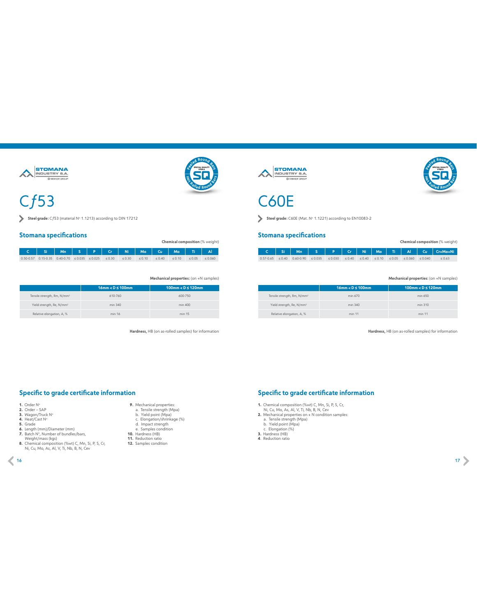

## $Cf53$

г

Steel grade: Cf53 (material No 1.1213) according to DIN 17212

#### **Stomana specifications**

| UNUMBER SPECING MONEY                                  |  |  |  |  | Chemical composition (% weight) |  |
|--------------------------------------------------------|--|--|--|--|---------------------------------|--|
| c   si   Mn   s   P   Cr   Ni   Mo   Cu   Mo   Ti   Al |  |  |  |  |                                 |  |

| المان المساحة المساسات المانا والساسات المار                                                                                                       |  |  |  |  |  |  |
|----------------------------------------------------------------------------------------------------------------------------------------------------|--|--|--|--|--|--|
| $0.50-0.57$ $0.15-0.35$ $0.40-0.70$ $\leq 0.035$ $\leq 0.025$ $\leq 0.30$ $\leq 0.30$ $\leq 0.10$ $\leq 0.40$ $\leq 0.10$ $\leq 0.05$ $\leq 0.060$ |  |  |  |  |  |  |
|                                                                                                                                                    |  |  |  |  |  |  |

**Mechanical properties:** (on +N samples)

**SPECIAL QUALITY STEELS <sup>e</sup>ele<sup>d</sup> <sup>R</sup>ou<sup>n</sup><sup>d</sup> <sup>B</sup>ar<sup>s</sup>**

**<sup>H</sup>o<sup>t</sup> <sup>R</sup>olle<sup>d</sup> <sup>R</sup>oun<sup>d</sup> <sup>B</sup>ar<sup>s</sup>**

|                                         | $16$ mm < $D \le 100$ mm | $100$ mm < $D \le 120$ mm |
|-----------------------------------------|--------------------------|---------------------------|
| Tensile strength, Rm, N/mm <sup>2</sup> | 610-760                  | 600-750                   |
| Yield strength, Re, N/mm <sup>2</sup>   | min 340                  | min 400                   |
| Relative elongation, A, %               | min 16                   | min 15                    |

**Hardness,** HB (on as-rolled samples) for information

**9.** Mechanical properties: a. Tensile strength (Mpa) b. Yield point (Mpa)

c. Elongation/shrinkage (%) d. Impact strength e. Samples condition **10.** Hardness (HB)

**11.** Reduction ratio **12.** Samples condition







C60E

Steel grade: C60E (Mat. No 1.1221) according to EN10083-2

#### **Stomana specifications**

|  |                                                                                                                                           |  |  |  |  | C Si   Mn   S   P   Cr   Ni   Mo   Ti   Al   Cu   Cr+Mo+Ni |
|--|-------------------------------------------------------------------------------------------------------------------------------------------|--|--|--|--|------------------------------------------------------------|
|  | $0.57 - 0.65 \le 0.40$ $0.60 - 0.90 \le 0.035$ $\le 0.030$ $\le 0.40$ $\le 0.40$ $\le 0.10$ $\le 0.05$ $\le 0.060$ $\le 0.040$ $\le 0.63$ |  |  |  |  |                                                            |

#### **Mechanical properties:** (on +N samples)

**Chemical composition** (% weight)

|                                         | $16$ mm < $D \le 100$ mm | $100$ mm < $D \le 120$ mm |
|-----------------------------------------|--------------------------|---------------------------|
| Tensile strength, Rm, N/mm <sup>2</sup> | min 670                  | min 650                   |
| Yield strength, Re, N/mm <sup>2</sup>   | min 340                  | min 310                   |
| Relative elongation, A, %               | min 11                   | min 11                    |

**Hardness,** HB (on as-rolled samples) for information

#### **Specific to grade certificate information**

- 
- 
- 
- 
- 
- 
- 
- 1. Order N°<br>2. Order SAP<br>3. Wagon/Truck N°<br>5. Grade<br>5. Grade<br>6. Length (mm/)/Diameter (mm)<br>7. Batch N°, Number of bundles/bars,<br>Weight/mass (kgs)<br>8. Chemical composition (%wt) C, Mn, Si, P, S, Cr,<br>10. Chemical compositio
- 

- 
- **1.** Chemical composition (%wt) C, Mn, Si, P, S, Cr,<br>
Ni, Cu, Mo, As, Al, V, Ti, Nb, B, N, Cev<br> **2.** Mechanical properties on + N condition samples:<br>
a. Tensile strength (Mpa)<br>
b. Yield point (Mpa)<br>
c. Elongation (%)<br> **3.**
- 
- 
- 
-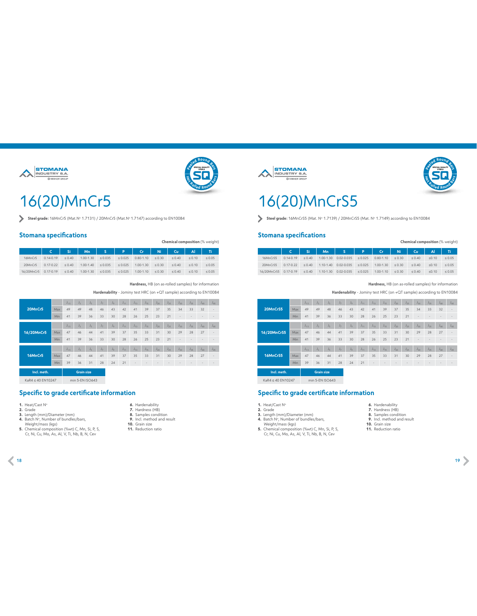



## 16(20)MnCr5

**Steel grade:** 16MnCr5 (Mat.N° 1.7131) / 20MnCr5 (Mat.N° 1.7147) according to ΕΝ10084

#### **Stomana specifications**

|            |                |             |               |                      |                |               |             |             |             | Chemical composition (% weight) |
|------------|----------------|-------------|---------------|----------------------|----------------|---------------|-------------|-------------|-------------|---------------------------------|
|            | $\mathsf{C}^-$ | 'Si         | Mn            | $\sim$ $\sim$ $\sim$ | <b>PARTIES</b> | $cr$          | <b>Ni</b>   | Cu.         | AI          | Ti.                             |
| 16MnCr5    | $0.14 - 0.19$  | < 0.40      | $1.00 - 1.30$ | $\leq 0.035$         | < 0.025        | $0.80 - 1.10$ | $\leq 0.30$ | < 0.40      | < 0.10      | $\leq 0.05$                     |
| 20MnCr5    | $0.17 - 0.22$  | $\leq 0.40$ | $1.00 - 1.40$ | $\leq 0.035$         | < 0.025        | $1.00 - 1.30$ | $\leq 0.30$ | $\leq 0.40$ | $\leq 0.10$ | $\leq 0.05$                     |
| 16/20MnCr5 | $0.17 - 0.19$  | $\leq 0.40$ | $1.00 - 1.30$ | $\leq 0.035$         | $\leq 0.025$   | $1.00 - 1.10$ | $\leq 0.30$ | $\leq 0.40$ | $\leq 0.10$ | $\leq 0.05$                     |

**Hardness,** HB (on as-rolled samples) for information

**Hardenability** - Jominy test HRC (on +QΤ sample) according to EN10084

|             |     | $J_{1.5}$ | $J_2$             | $J_{\kappa}$ | $J_{\mathcal{T}}$ | $J_{\varphi}$ | $J_{44}$ | $J_{13}$ | $J_{15}$ | $J_{20}$ | $J_{25}$ | $J_{30}$ | $J_{35}$ | $J_{40}$ | $J_{45}$ |
|-------------|-----|-----------|-------------------|--------------|-------------------|---------------|----------|----------|----------|----------|----------|----------|----------|----------|----------|
| 20MnCr5     | Max | 49        | 49                | 48           | 46                | 43            | 42       | 41       | 39       | 37       | 35       | 34       | 33       | 32       |          |
|             | Min | 41        | 39                | 36           | 33                | 30            | 28       | 26       | 25       | 23       | 21       | ٠        |          |          |          |
|             |     |           |                   |              |                   |               |          |          |          |          |          |          |          |          |          |
|             |     | $J_{1.5}$ | $J_2$             | $J_{\kappa}$ | $J_{\mathcal{T}}$ | $J_{\varphi}$ | $J_{44}$ | $J_{13}$ | $J_{15}$ | $J_{20}$ | $J_{25}$ | $J_{30}$ | $J_{35}$ | $J_{40}$ | $J_{45}$ |
| 16/20MnCr5  | Max | 47        | 46                | 44           | 41                | 39            | 37       | 35       | 33       | 31       | 30       | 29       | 28       | 27       |          |
|             | Min | 41        | 39                | 36           | 33                | 30            | 28       | 26       | 25       | 23       | 21       | ٠        |          |          |          |
|             |     |           |                   |              |                   |               |          |          |          |          |          |          |          |          |          |
|             |     | $J_{1.5}$ | $J_3$             | $J_{\kappa}$ | υ.,               | $J_{\varphi}$ | $J_{11}$ | $J_{13}$ | $J_{15}$ | $J_{20}$ | $J_{25}$ | $J_{30}$ | $J_{35}$ | $J_{40}$ | $J_{45}$ |
| 16MnCr5     | Max | 47        | 46                | 44           | 41                | 39            | 37       | 35       | 33       | 31       | 30       | 29       | 28       | 27       |          |
|             | Min | 39        | 36                | 31           | 28                | 24            | 21       |          |          |          |          |          |          |          |          |
| Incl. meth. |     |           | <b>Grain size</b> |              |                   |               |          |          |          |          |          |          |          |          |          |

 $KaR4 ≤ 40 EN10247$  min 5-EN ISO643

#### **Specific to grade certificate information**

**1.** Heat/Cast N°

- 
- **2.** Grade<br>**3.** Length (mm)/Diameter (mm)<br>**4.** Batch N°, Number of bundles/bars,
- 
- 
- Weight/mass (kgs) **5.** Chemical composition (%wt) C, Mn, Si, P, S, Cr, Ni, Cu, Mo, As, Al, V, Ti, Nb, B, N, Cev



- **6.** Hardenability  **7.** Hardness (HB)  **8.** Samples condition
- **9.** Incl. method and result
- **10.** Grain size **11.** Reduction ratio
- 

**STOMANA STOMANA** 





### 16(20)MnCrS5

Steel grade: 16MnCrS5 (Mat. Nº 1.7139) / 20MnCrS5 (Mat. Nº 1.7149) according to EN10084

#### **Stomana specifications**

|                       |               |                            |               |                |              |               |             | Chemical composition (% weight) |       |             |
|-----------------------|---------------|----------------------------|---------------|----------------|--------------|---------------|-------------|---------------------------------|-------|-------------|
|                       |               | $C \parallel Si \parallel$ |               | Mn S P Cr      |              |               | $Ni$ $\Box$ | $Cu$ $\parallel$                | AI    | Ti.         |
| 16MnCrS5              | $0.14 - 0.19$ | $\leq 0.40$                | $1.00 - 1.30$ | $0.02 - 0.035$ | $\leq 0.025$ | $0.80 - 1.10$ | $\leq 0.30$ | $\leq 0.40$                     | 50.10 | $\leq 0.05$ |
| 20MnCrS5              | $0.17 - 0.22$ | $\leq 0.40$                | $1.10 - 1.40$ | $0.02 - 0.035$ | $\leq 0.025$ | $1.00 - 1.30$ | $\leq 0.30$ | $\leq 0.40$                     | 50.10 | $\leq 0.05$ |
| 16/20MnCrS5 0.17-0.19 |               | $\leq 0.40$                | 1.10-1.30     | $0.02 - 0.035$ | $\leq 0.025$ | $1.00 - 1.10$ | $\leq 0.30$ | < 0.40                          | 50.10 | $\leq 0.05$ |

#### **Hardness,** HB (on as-rolled samples) for information

**Hardenability** - Jominy test HRC (on +QΤ sample) according to EN10084

|             |            | $J_{1.5}$ | $J_2$             | $J_{\kappa}$ | $J_{7}$           | $J_{\varphi}$ | $J_{11}$ | $J_{13}$ | $J_{15}$ | $J_{20}$ | $J_{25}$ | $J_{30}$ | $J_{35}$ | $J_{40}$ | $J_{45}$ |
|-------------|------------|-----------|-------------------|--------------|-------------------|---------------|----------|----------|----------|----------|----------|----------|----------|----------|----------|
| 20MnCrS5    | <b>Max</b> | 49        | 49                | 48           | 46                | 43            | 42       | 41       | 39       | 37       | 35       | 34       | 33       | 32       |          |
|             | Min        | 41        | 39                | 36           | 33                | 30            | 28       | 26       | 25       | 23       | 21       |          |          |          |          |
|             |            | $J_{1.5}$ | $J_3$             | $J_{\kappa}$ | $J_{7}$           | $J_{\varphi}$ | $J_{11}$ | $J_{13}$ | $J_{15}$ | $J_{20}$ | $J_{25}$ | $J_{30}$ | $J_{35}$ | $J_{40}$ | $J_{45}$ |
| 16/20MnCrS5 | Max.       | 47        | 46                | 44           | 41                | 39            | 37       | 35       | 33       | 31       | 30       | 29       | 28       | 27       |          |
|             | Min        | 41        | 39                | 36           | 33                | 30            | 28       | 26       | 25       | 23       | 21       |          |          |          |          |
|             |            | $J_{1.5}$ | $J_3$             | $J_{\kappa}$ | $J_{\mathcal{I}}$ | $J_{\varphi}$ | $J_{11}$ | $J_{13}$ | $J_{15}$ | $J_{20}$ | $J_{25}$ | $J_{30}$ | $J_{35}$ | $J_{40}$ | $J_{45}$ |
| 16MnCrS5    | <b>Max</b> | 47        | 46                | 44           | 41                | 39            | 37       | 35       | 33       | 31       | 30       | 29       | 28       | 27       |          |
|             | Min        | 39        | 36                | 31           | 28                | 24            | 21       |          |          |          |          |          |          |          |          |
| Incl. meth. |            |           | <b>Grain size</b> |              |                   |               |          |          |          |          |          |          |          |          |          |

KaR4 ≤ 40 EN10247 min 5-EN ISO643

#### **Specific to grade certificate information**

- **1.** Heat/Cast N°
- **2.** Grade **3.** Length (mm)/Diameter (mm)
	- -
- **9.** Incl. method and result **10.** Grain size **11.** Reduction ratio

 **6.** Hardenability  **7.** Hardness (HB)  **8.** Samples condition

- **4.** Batch N°, Number of bundles/bars,<br>Weight/mass (kgs)<br>**5.** Chemical composition (%wt) C, Mn, Si, P, S,<br>Cr, Ni, Cu, Mo, As, Al, V, Ti, Nb, B, N, Cev
- 
- 18 and the contract of the contract of the contract of the contract of the contract of the contract of the contract of the contract of the contract of the contract of the contract of the contract of the contract of the con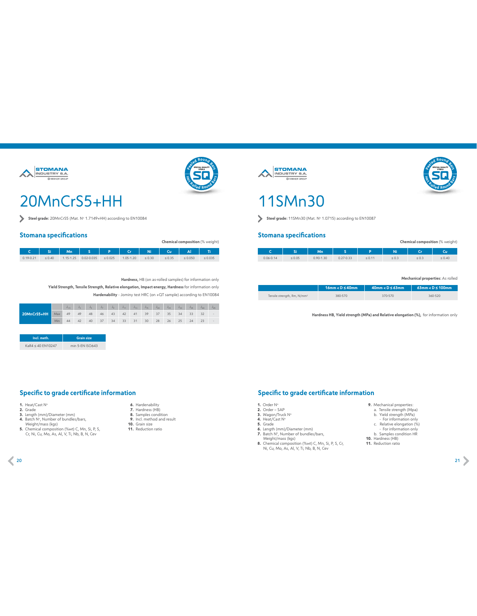



### 20MnCrS5+HH

Steel grade: 20MnCrS5 (Mat. No 1.7149+HH) according to EN10084

#### **Stomana specifications**

|               |             |                                                  |              |               |             |             |              | <b>Chemical composition</b> (% weight) |
|---------------|-------------|--------------------------------------------------|--------------|---------------|-------------|-------------|--------------|----------------------------------------|
|               |             | Si    Mn    S    P    Cr    Ni    Cu    Al    Ti |              |               |             |             |              |                                        |
| $0.19 - 0.21$ | $\leq 0.40$ | 1.15-1.25 0.02-0.035                             | $\leq 0.025$ | $1.05 - 1.20$ | $\leq 0.30$ | $\leq 0.35$ | $\leq 0.050$ | $\leq 0.035$                           |

**Hardness,** HB (on as-rolled samples) for information only

**Yield Strength, Tensile Strength, Relative elongation, Impact energy, Hardness** for information only **Hardenability** - Jominy test HRC (on +QΤ sample) according to EN10084

|             |            | $J_{15}$ $J_3$ $J_5$ $J_7$ $J_9$ $J_{11}$ $J_{13}$ $J_{15}$ $J_{20}$ $J_{25}$ $J_{30}$ $J_{35}$ $J_{40}$ $J_{45}$ |  |  |  |  |  |  |  |
|-------------|------------|-------------------------------------------------------------------------------------------------------------------|--|--|--|--|--|--|--|
| 20MnCrS5+HH |            | Max 49 49 48 46 43 42 41 39 37 35 34 33 32 -                                                                      |  |  |  |  |  |  |  |
|             | <b>Min</b> | 44 42 40 37 34 33 31 30 28 26 25 24 23                                                                            |  |  |  |  |  |  |  |

| Incl. meth.       | <b>Grain size</b> |
|-------------------|-------------------|
| KaR4 < 40 FN10247 | min 5-FN ISO643   |

#### **Specific to grade certificate information**

- 
- **1.** Heat/Cast N°<br>**2.** Grade<br>**3.** Length (mm)/Diameter (mm)
- 
- 4. Batch N°, Number of bundles/bars,
- Weight/mass (kgs)<br>**5.** Chemical composition (%wt) C, Mn, Si, P, S,<br>Cr, Ni, Cu, Mo, As, Al, V, Ti, Nb, B, N, Cev
- - **6.** Hardenability  **7.** Hardness (HB)  **8.** Samples condition
	- **9.** Incl. method and result
	- **10.** Grain size **11.** Reduction ratio
	-

**STOMANA ANDUSTRY S.A.** 





Steel grade: 11SMn30 (Mat. Nº 1.0715) according to EN10087

#### **Stomana specifications**

|               | Si          | Mn            |               | Þ           | Ni |       | Cu          |
|---------------|-------------|---------------|---------------|-------------|----|-------|-------------|
| $0.06 - 0.14$ | $\leq 0.05$ | $0.90 - 1.30$ | $0.27 - 0.33$ | $\leq 0.11$ |    | ≤ U.3 | $\leq 0.40$ |

#### **Mechanical properties:** As rolled

**Chemical composition** (% weight)

**SPECIAL QUALITY STEELS <sup>e</sup>ele<sup>d</sup> <sup>R</sup>ou<sup>n</sup><sup>d</sup> <sup>B</sup>ar<sup>s</sup>**

**<sup>H</sup>o<sup>t</sup> <sup>R</sup>olle<sup>d</sup> <sup>R</sup>oun<sup>d</sup> <sup>B</sup>ar<sup>s</sup>**

|                                         | $16$ mm < $D \leq 40$ mm | $40$ mm < $D \leq 63$ mm | $63$ mm < $D \le 100$ mm |
|-----------------------------------------|--------------------------|--------------------------|--------------------------|
| Tensile strength, Rm, N/mm <sup>2</sup> | 380-570                  | 370-570                  | 360-520                  |

**Hardness HB, Yield strength (MPa) and Relative elongation (%),** for information only

#### **Specific to grade certificate information**

- 
- 
- 
- 
- 1. Order N°<br>2. Order SAP<br>3. Wagon/Truck N°<br>5. Grade<br>5. Grade<br>6. Length (mm/)/Diameter (mm)<br>7. Batch N°, Number of bundles/bars,<br>Weight/mass (kgs)<br>8. Chemical composition (%wt) C, Mn, Si, P, S, Cr,<br>1. Ch, Mo, As, Al, V, T
	-
- For information only

**9.** Mechanical properties: a. Tensile strength (Mpa) b. Yield strength (MPa)

- c. Relative elongation (%) For information only b. Samples condition HR **10.** Hardness (HB)
- 
- **11.** Reduction ratio

 $20$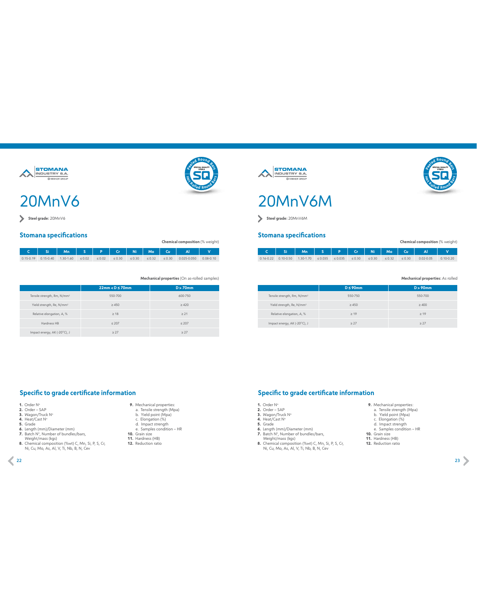

### 20MnV6

**Steel grade:** 20MnV6

#### **Stomana specifications**

|  | C   Si   Mn   S   P   Cr   Ni   Mo   Cu   Al |  |  |  |                                                                                                                           |  |
|--|----------------------------------------------|--|--|--|---------------------------------------------------------------------------------------------------------------------------|--|
|  |                                              |  |  |  | $0.15 - 0.19$ 0.15-0.40 1.30-1.60 $\le 0.02$ $\le 0.02$ $\le 0.30$ $\le 0.30$ $\le 0.32$ $\le 0.30$ 0.025-0.050 0.08-0.10 |  |

**Mechanical properties** (On as-rolled samples)

|                                         | $22mm < D \leq 70mm$ | $D > 70$ mm |
|-----------------------------------------|----------------------|-------------|
| Tensile strength, Rm, N/mm <sup>2</sup> | 550-700              | 600-750     |
| Yield strength, Re, N/mm <sup>2</sup>   | $\geq 450$           | $\geq 420$  |
| Relative elongation, A, %               | $\geq 18$            | $\geq 21$   |
| Hardness HB                             | $\leq 207$           | $\leq 207$  |
| Impact energy, AK (-20°C), J            | $\geq$ 27            | $\geq$ 27   |

#### **Specific to grade certificate information**

- 
- 
- 
- 
- 
- 
- 1. Order N°<br>2. Order SAP<br>3. Wagon/Truck N°<br>5. Grade<br>5. Grade<br>6. Length (mm/)/Diameter (mm)<br>7. Batch N°, Number of bundles/bars,<br>Weight/mass (kgs)<br>8. Chemical composition (%wt) C, Mn, Si, P, S, Cr,<br>10. Chemical compositio
- 
- **9.** Mechanical properties: a. Tensile strength (Mpa) b. Yield point (Mpa)
- 
- 
- c. Elongation (%) d. Impact strength e. Samples condition HR **10.** Grain size **11.** Hardness (HB)
- 
- **12.** Reduction ratio
- 







**Steel grade:** 20MnV6M

#### **Stomana specifications**

| Chemical composition (% weight) |  |                                                                                                         |  |  |  |  |             |             |                              |               |
|---------------------------------|--|---------------------------------------------------------------------------------------------------------|--|--|--|--|-------------|-------------|------------------------------|---------------|
|                                 |  |                                                                                                         |  |  |  |  |             |             | C Si Mn S P Cr Ni Mo Cu Al V |               |
|                                 |  | $0.16 \cdot 0.22$ 0.10 $\cdot 0.50$ 1.30 $\cdot 1.70$ $\leq 0.035$ $\leq 0.035$ $\leq 0.30$ $\leq 0.30$ |  |  |  |  | $\leq 0.32$ | $\leq 0.30$ | $0.02 - 0.05$                | $0.10 - 0.20$ |

#### **Mechanical properties:** As rolled

**SPECIAL QUALITY STEELS <sup>e</sup>ele<sup>d</sup> <sup>R</sup>ou<sup>n</sup><sup>d</sup> <sup>B</sup>ar<sup>s</sup>**

**<sup>H</sup>o<sup>t</sup> <sup>R</sup>olle<sup>d</sup> <sup>R</sup>oun<sup>d</sup> <sup>B</sup>ar<sup>s</sup>**

|                                         | $D \leq 90$ mm | $D > 90$ mm |
|-----------------------------------------|----------------|-------------|
| Tensile strength, Rm, N/mm <sup>2</sup> | 550-750        | 550-700     |
| Yield strength, Re, N/mm <sup>2</sup>   | $\geq 450$     | $\geq 400$  |
| Relative elongation, A, %               | $\geq 19$      | $\geq$ 19   |
| Impact energy, AK (-20°C), J            | > 27           | > 27        |

**Specific to grade certificate information**

- 
- 
- 
- -
	-
- 1. Order N°<br>2. Order SAP<br>3. Wagon/Truck N°<br>5. Grade<br>5. Grade<br>6. Length (mm/)/Diameter (mm)<br>7. Batch N°, Number of bundles/bars,<br>Weight/mass (kgs)<br>8. Chemical composition (%wt) C, Mn, Si, P, S, Cr,<br>10. Chemical compositio
- **9.** Mechanical properties: a. Tensile strength (Mpa) b. Yield point (Mpa)
- 
- 
- 
- c. Elongation (%) d. Impact strength e. Samples condition HR **10.** Grain size **11.** Hardness (HB)
- 
- **12.** Reduction ratio

22 and the contract of the contract of the contract of the contract of the contract of the contract of the contract of the contract of the contract of the contract of the contract of the contract of the contract of the con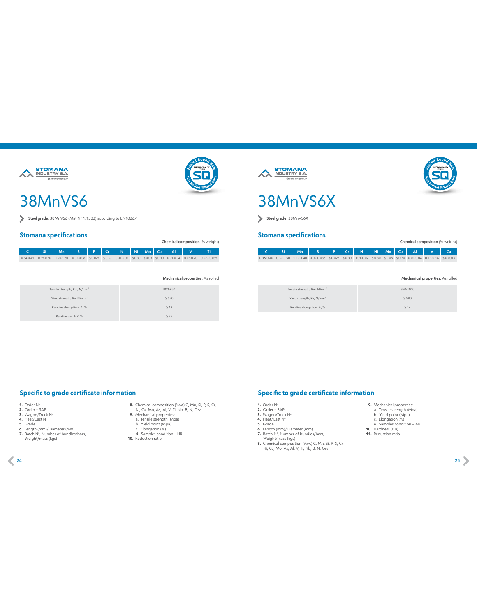



### 38MnVS6

Steel grade:  $38MnV$ S6 (Mat N° 1.1303) according to EN10267

#### **Stomana specifications**

**Chemical composition** (% weight)

**C Si Mn S P Сr N Ni Mo Cu Al V Ti**  $0.34-0.41 \left| \begin{array}{cc} 0.15-0.80 & 1.20-1.60 & 0.02-0.06 & \leq 0.025 & \leq 0.30 & 0.01-0.02 & \leq 0.30 & \leq 0.08 & \leq 0.30 & 0.01-0.04 & 0.08-0.20 & 0.020-0.035 \end{array} \right|$ 

**Mechanical properties:** As rolled

| Tensile strength, Rm, N/mm <sup>2</sup> | 800-950    |
|-----------------------------------------|------------|
| Yield strength, Re, N/mm <sup>2</sup>   | $\geq 520$ |
| Relative elongation, A, %               | $\geq 12$  |
| Relative shrink Z, %                    | $\geq 25$  |





**Steel grade:** 38MnVS6Χ

#### **Stomana specifications**

**C Si Mn S P Сr N Ni Mo Cu Al V Ca**  $0.36 \cdot 0.40 \left| 0.30 \cdot 0.50 \right. \left| 1.10 \cdot 1.40 \left| 0.02 \cdot 0.035 \right| \leq 0.025 \left| \leq 0.30 \right| 0.01 \cdot 0.02 \left| \leq 0.30 \right| \leq 0.08 \left| \leq 0.30 \right| 0.01 \cdot 0.04 \left| 0.11 \cdot 0.16 \right| \leq 0.0015$ 

#### **Mechanical properties:** As rolled

**Chemical composition** (% weight)

**SPECIAL QUALITY STEELS <sup>e</sup>ele<sup>d</sup> <sup>R</sup>ou<sup>n</sup><sup>d</sup> <sup>B</sup>ar<sup>s</sup>**

**<sup>H</sup>o<sup>t</sup> <sup>R</sup>olle<sup>d</sup> <sup>R</sup>oun<sup>d</sup> <sup>B</sup>ar<sup>s</sup>**

| Tensile strength, Rm, N/mm <sup>2</sup> | 850-1000   |
|-----------------------------------------|------------|
| Yield strength, Re, N/mm <sup>2</sup>   | $\geq 580$ |
| Relative elongation, A, %               | $\geq 14$  |

#### **Specific to grade certificate information**

- 
- 
- 
- 
- 
- **1.** Order N°<br>**3.** Wagon/Truck N°<br>**4.** Heat/Cast N°<br>**5.** Grade<br>**6.** Length (mm)/Diameter (mm)<br>**7.** Batch N°, Number of bundles/bars, Weight/mass (kgs)
- **8.** Chemical composition (%wt) C, Mn, Si, P, S, Cr, Ni, Cu, Mo, As, Al, V, Ti, Nb, B, N, Cev **9.** Mechanical properties:
- 
- 
- a. Tensile strength (Mpa) b. Yield point (Mpa) c. Elongation (%) d. Samples condition HR
- 
- 
- **10.** Reduction ratio

#### **Specific to grade certificate information**

- 
- 
- 
- 
- 
- 
- c. Elongation (%) e. Samples condition AR **10.** Hardness (HB) **11.** Reduction ratio

**9.** Mechanical properties: a. Tensile strength (Mpa) b. Yield point (Mpa)

- 1. Order N°<br>2. Order SAP<br>3. Wagon/Truck N°<br>5. Grade<br>5. Grade<br>6. Length (mm/)/Diameter (mm)<br>7. Batch N°, Number of bundles/bars,<br>Weight/mass (kgs)<br>8. Chemical composition (%wt) C, Mn, Si, P, S, Cr,<br>10. Chemical compositio
- 

24 and 20 and 20 and 20 and 20 and 20 and 20 and 20 and 20 and 20 and 20 and 20 and 20 and 20 and 20 and 20 an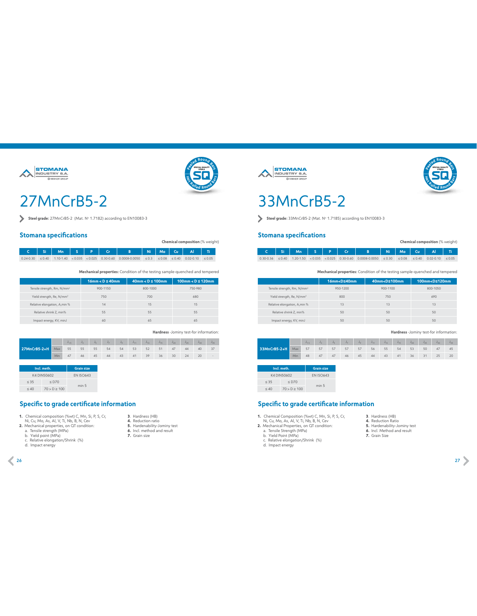



### 27MnCrB5-2

Steel grade: 27MnCrB5-2 (Mat. Nº 1.7182) according to EN10083-3

#### **Stomana specifications**

**Chemical composition** (% weight)

**C Si Mn S P Сr B Ni Mo Cu Al Ti** 0.24-0.30 ≤ 0.40 1.10-1.40 < 0.035 < 0.025 0.30-0.60 0.0008-0.0050 ≤ 0.3 ≤ 0.08 ≤ 0.40 0.02-0.10 ≤ 0.05

**Mechanical properties:** Condition of the testing sample-quenched and tempered

|                                         | $16mm < D \leq 40mm$ | $40mm < D \leq 100mm$ | $100$ mm < $D \le 120$ mm |
|-----------------------------------------|----------------------|-----------------------|---------------------------|
| Tensile strength, Rm, N/mm <sup>2</sup> | 900-1150             | 800-1000              | 750-980                   |
| Yield strength, Re, N/mm <sup>2</sup>   | 750                  | 700                   | 680                       |
| Relative elongation, A, min %           | 14                   | 15                    | 15                        |
| Relative shrink Z, min%                 | 55                   | 55                    | 55                        |
| Impact energy, KV, minJ                 | 60                   | 65                    | 65                        |

**Hardness** -Jominy test-for information:

|                                                             |  |  |  |  |  | $\mathsf{J}_{1.5} \qquad \mathsf{J}_{3} \qquad \mathsf{J}_{5} \qquad \mathsf{J}_{7} \qquad \mathsf{J}_{9} \qquad \mathsf{J}_{11} \qquad \mathsf{J}_{13} \qquad \mathsf{J}_{15} \qquad \mathsf{J}_{20} \qquad \mathsf{J}_{25} \qquad \mathsf{J}_{30} \qquad \mathsf{J}_{35} \, .$ |  |
|-------------------------------------------------------------|--|--|--|--|--|----------------------------------------------------------------------------------------------------------------------------------------------------------------------------------------------------------------------------------------------------------------------------------|--|
| <b>27MnCrB5-2+H</b> Max 55 55 55 54 54 53 52 51 47 44 40 37 |  |  |  |  |  |                                                                                                                                                                                                                                                                                  |  |
|                                                             |  |  |  |  |  | Min 47 46 45 44 43 41 39 36 30 24 20                                                                                                                                                                                                                                             |  |

| Incl. meth. | <b>Grain size</b> |                  |
|-------------|-------------------|------------------|
| K4 DIN50602 | <b>FN ISO643</b>  |                  |
| < 35        | $<$ D70           | min <sub>5</sub> |
| < 40        | 70 > D > 100      |                  |

#### **Specific to grade certificate information**

- **1.** Chemical composition (%wt) C, Mn, Si, P, S, Cr,<br>Ni, Cu, Mo, As, Al, V, Ti, Nb, B, N, Cev<br>**2.** Mechanical properties, on QT condition:<br>a. Tensile strength (MPa)<br>b. Yield point (MPa)<br>b. Nellative elongation/Shrink (%)
- 
- 
- 
- 
- d. Impact energy
- **3**. Hardness (HB) **4.** Reduction ratio **5.** Hardenability-Jominy test **6.** Incl. method and result **7.** Grain size
- 





### 33MnCrB5-2

Steel grade: 33MnCrB5-2 (Mat. No 1.7185) according to EN10083-3

#### **Stomana specifications**

|  |  |  | C   Si   Mn   S   P   Cr   B   Ni   Mo   Cu   Al   Ti                                                                      |  |  |  |
|--|--|--|----------------------------------------------------------------------------------------------------------------------------|--|--|--|
|  |  |  | $0.30 - 0.36$ < $0.40$ 1.20 - 1.50 < $0.035$ < $0.025$ 0.30 - 0.60 0.0008 - 0.0050 < 0.30 < 0.08 < 0.40 0.02 - 0.10 < 0.05 |  |  |  |

**Mechanical properties:** Condition of the testing sample-quenched and tempered

|                                         | 16mm <d≤40mm< th=""><th>40mm<d≤100mm< th=""><th>100mm<d≤120mm< th=""></d≤120mm<></th></d≤100mm<></th></d≤40mm<> | 40mm <d≤100mm< th=""><th>100mm<d≤120mm< th=""></d≤120mm<></th></d≤100mm<> | 100mm <d≤120mm< th=""></d≤120mm<> |
|-----------------------------------------|-----------------------------------------------------------------------------------------------------------------|---------------------------------------------------------------------------|-----------------------------------|
| Tensile strength, Rm, N/mm <sup>2</sup> | 950-1200                                                                                                        | 900-1100                                                                  | 800-1050                          |
| Yield strength, Re, N/mm <sup>2</sup>   | 800                                                                                                             | 750                                                                       | 690                               |
| Relative elongation, A, min %           | 13                                                                                                              | 13                                                                        | 13                                |
| Relative shrink Z, min%                 | 50                                                                                                              | 50                                                                        | 50                                |
| Impact energy, KV, minJ                 | 50                                                                                                              | 50                                                                        | 50                                |

#### **Hardness** -Jominy test-for information:

**Chemical composition** (% weight)

|                                                             |     | $J_{15}$ $J_{15}$ $J_3$ $J_5$ $J_7$ $J_9$ $J_{11}$ $J_{13}$ $J_{15}$ $J_{20}$ $J_{25}$ $J_{30}$ $J_{35}$ |                                  |  |  |  |  |    |
|-------------------------------------------------------------|-----|----------------------------------------------------------------------------------------------------------|----------------------------------|--|--|--|--|----|
| <b>33MnCrB5-2+H</b> Max 57 57 57 57 57 56 55 54 53 50 47 45 |     |                                                                                                          |                                  |  |  |  |  |    |
|                                                             | Min |                                                                                                          | 48 47 47 46 45 44 43 41 36 31 25 |  |  |  |  | 20 |

|      | Incl. meth.  | <b>Grain size</b> |
|------|--------------|-------------------|
|      | K4 DIN50602  | <b>FN ISO643</b>  |
| < 35 | $<$ D70      | min <sub>5</sub>  |
| < 40 | 70 > D > 100 |                   |

#### **Specific to grade certificate information**

- 1. Chemical Composition (%wt) C, Mn, Si, P, S, Cr,<br>Ni, Cu, Mo, As, Al, V, Ti, Nb, B, N, Cev<br>2. Mechanical Properties, on QT condition:<br>a. Tensile Strength (MPa)<br>b. Yield Point (MPa)<br>b. Neld Point (MPa)<br>c. Relative elongati
- 
- 
- **3**. Hardness (HB) **4.** Reduction Ratio
- **5.** Hardenability-Jominy test
- **6.** Incl. Method and result **7.** Grain Size
- 

d. Impact energy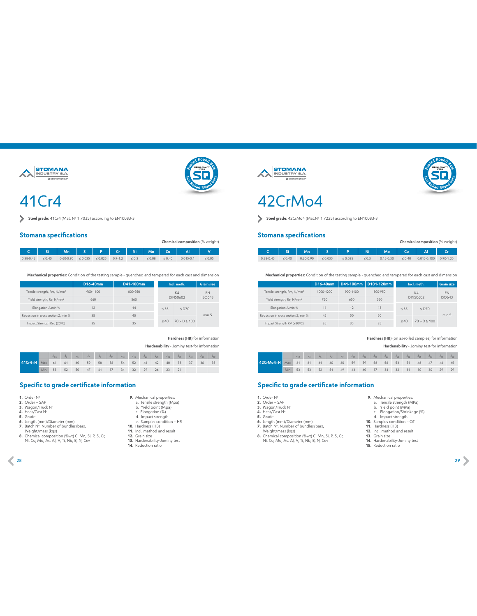

### 41Cr4



#### **Stomana specifications**

|               |             | Chemical composition (% weight)              |  |  |                      |            |             |             |               |             |  |  |  |  |
|---------------|-------------|----------------------------------------------|--|--|----------------------|------------|-------------|-------------|---------------|-------------|--|--|--|--|
|               |             | 「  Si   Mn   S   P   Cr   Ni   Mo   Cu   Al』 |  |  |                      |            |             |             |               |             |  |  |  |  |
| $0.38 - 0.45$ | $\leq 0.40$ | $0.60 - 0.90 \le 0.035$                      |  |  | $\leq 0.025$ 0.9-1.2 | $\leq 0.3$ | $\leq 0.08$ | $\leq 0.40$ | $0.015 - 0.1$ | $\leq 0.05$ |  |  |  |  |

**Mechanical properties:** Condition of the testing sample - quenched and tempered for each cast and dimension

|                                         | D16-40mm     | D41-100mm | Incl. meth. | <b>Grain size</b> |                  |
|-----------------------------------------|--------------|-----------|-------------|-------------------|------------------|
| Tensile strength, Rm, N/mm <sup>2</sup> | $900 - 1100$ | 800-950   |             | K4                | <b>FN</b>        |
| Yield strength, Re, N/mm <sup>2</sup>   | 660          | 560       | DIN50602    | <b>ISO643</b>     |                  |
| Elongation A min %                      | 12           | 14        | $\leq$ 35   | $<$ D70           |                  |
| Reduction in cross section Z. min %     | 35           | 40        |             |                   | min <sub>5</sub> |
| Impact Strength Kcu (20°C)              | 35           | 35        | < 40        | 70 > D > 100      |                  |

**Hardness (HB)** for information **Hardenability** - Jominy test-for information

|                                           |  | $\qquad \qquad \mathsf{J}_{1.5} \qquad \mathsf{J}_{3} \qquad \mathsf{J}_{5} \qquad \mathsf{J}_{7} \qquad \mathsf{J}_{9} \qquad \mathsf{J}_{11} \qquad \mathsf{J}_{13} \qquad \mathsf{J}_{15} \qquad \mathsf{J}_{20} \qquad \mathsf{J}_{25} \qquad \mathsf{J}_{30} \qquad \mathsf{J}_{35} \qquad \mathsf{J}_{40} \qquad \mathsf{J}_{45} \qquad \mathsf{J}_{50}$ |  |  |  |       |                |  |  |
|-------------------------------------------|--|----------------------------------------------------------------------------------------------------------------------------------------------------------------------------------------------------------------------------------------------------------------------------------------------------------------------------------------------------------------|--|--|--|-------|----------------|--|--|
| 41Cr4+H Max 61 61 60 59 58 56 54 52 46 42 |  |                                                                                                                                                                                                                                                                                                                                                                |  |  |  |       | 40 38 37 36 35 |  |  |
|                                           |  | Min 53 52 50 47 41 37 34 32 29                                                                                                                                                                                                                                                                                                                                 |  |  |  | 26 23 |                |  |  |

#### **Specific to grade certificate information**

- 
- **1.** Order N°<br>**2.** Order SAP<br>**3.** Wagon/Truck N°
- 
- 
- 
- 
- 
- **4.** Heat/Cast N°<br>**6.** Lende<br>**6.** Length (mm)/Diameter (mm)<br>**7.** Batch N°, Number of bundles/bars,<br>Weight/mass (kgs)<br>**8.** Chemical composition (%wt) C, Mn, Si, P, S, Cr,<br>Ni, Cu, Mo, As, Al, V, Ti, Nb, B, N, Cev

|  | 9. Mechanical properties: |
|--|---------------------------|
|  | a. Tensile strength (Mpa) |
|  | b. Yield point (Mpa)      |
|  | c. Elongation (%)         |

- 
- 
- c. Elongation (%) d. Impact strength e. Samples condition HR **10.** Hardness (HB) **11.** Incl. method and result **12.** Grain size
- **13.** Hardenability-Jominy test **14.** Reduction ratio
	-



### 42CrMo4

Steel grade:  $42CrMo4$  (Mat.N° 1.7225) according to EN10083-3

#### **Stomana specifications**

|               |             | Mn            |              | SIP Ni       |            | Mo            | Cu |                                   |  |
|---------------|-------------|---------------|--------------|--------------|------------|---------------|----|-----------------------------------|--|
| $0.38 - 0.45$ | $\leq 0.40$ | $0.60 - 0.90$ | $\leq 0.035$ | $\leq 0.025$ | $\leq 0.3$ | $0.15 - 0.30$ |    | $\leq$ 0.40 0.015-0.100 0.90-1.20 |  |

**Mechanical properties:** Condition of the testing sample - quenched and tempered for each cast and dimension

|                                         | D16-40mm   | D41-100mm | D101-120mm | Incl. meth. | <b>Grain size</b> |               |
|-----------------------------------------|------------|-----------|------------|-------------|-------------------|---------------|
| Tensile strength, Rm, N/mm <sup>2</sup> | 1000-1200  | 900-1100  | 800-950    |             | K4                | <b>FN</b>     |
| Yield strength, Re, N/mm <sup>2</sup>   | 750<br>650 |           | 550        | DIN50602    |                   | <b>ISO643</b> |
| Elongation A min %                      | 11         | 12        | 13         | < 35        | $<$ D70           |               |
| Reduction in cross section Z. min %     | 45         | 50        | 50         |             |                   | min 5         |
| Impact Strength KV (+20°C)              | 35         | 35        | 35         | < 40        | 70 > D > 100      |               |

#### **Hardness (HB)** (on as-rolled samples) for information **Hardenability** - Jominy test-for information

**SPECIAL QUALITY STEELS <sup>e</sup>ele<sup>d</sup> <sup>R</sup>ou<sup>n</sup><sup>d</sup> <sup>B</sup>ar<sup>s</sup>**

**Chemical composition** (% weight)

**<sup>H</sup>o<sup>t</sup> <sup>R</sup>olle<sup>d</sup> <sup>R</sup>oun<sup>d</sup> <sup>B</sup>ar<sup>s</sup>**

|                                                            |  |  |  |  |                                                  |  |  |  | $J_{1,5}$ $J_3$ $J_5$ $J_7$ $J_9$ $J_{11}$ $J_{13}$ $J_{15}$ $J_{20}$ $J_{25}$ $J_{30}$ $J_{35}$ $J_{40}$ $J_{45}$ $J_{50}$ |
|------------------------------------------------------------|--|--|--|--|--------------------------------------------------|--|--|--|-----------------------------------------------------------------------------------------------------------------------------|
| 42CrMo4+H Max 61 61 61 60 60 59 59 58 56 53 51 48 47 46 45 |  |  |  |  |                                                  |  |  |  |                                                                                                                             |
|                                                            |  |  |  |  | Min 53 53 52 51 49 43 40 37 34 32 31 30 30 29 29 |  |  |  |                                                                                                                             |

- 
- **1.** Order N°<br>**2.** Order SAP<br>**3.** Wagon/Truck N°
- 
- 
- **4.** Heat/Cast Nº<br>**5.** Grade<br>**6.** Length (mm)/Diameter (mm)<br>**7.** Batch Nº, Number of bundles/bars,
- 
- Weight/mass (kgs) **8.** Chemical composition (%wt) C, Mn, Si, P, S, Cr, Ni, Cu, Mo, As, Al, V, Ti, Nb, B, N, Cev
- 
- **9.** Mechanical properties: a. Tensile strength (MPa) b. Yield point (MPa)
- 
- c. Elongation/Shrinkage (%) d. Impact strength **10.** Samples condition QT **11.** Hardness (HB)
- 
- 
- 
- **12.** Incl. method and result **13.** Grain size **14.** Hardenability-Jominy test **15.** Reduction ratio
- 

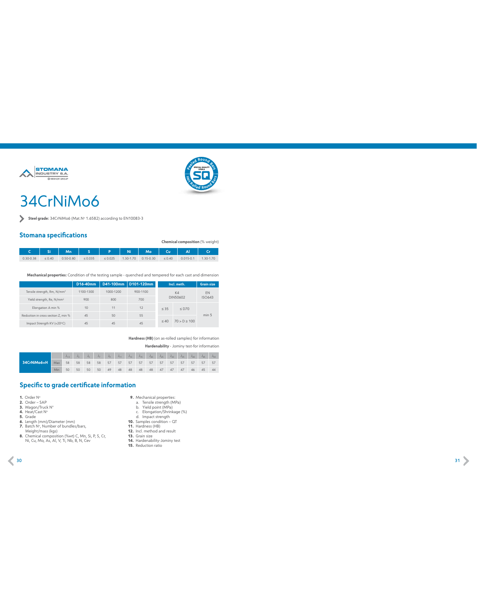



### 34CrNiMo6

**Steel grade:** 34CrNiMo6 (Mat.Nº 1.6582) according to EN10083-3

#### **Stomana specifications**

|               |             | oraniana specimaatans                 |              |              |           |               |             |               | Chemical composition (% weight) |
|---------------|-------------|---------------------------------------|--------------|--------------|-----------|---------------|-------------|---------------|---------------------------------|
|               |             | C Si   Mn   S   P   Ni   Mo   Cu   Al |              |              |           |               |             |               |                                 |
| $0.30 - 0.38$ | $\leq 0.40$ | $0.50 - 0.80$                         | $\leq 0.035$ | $\leq 0.025$ | 1.30-1.70 | $0.15 - 0.30$ | $\leq 0.40$ | $0.015 - 0.1$ | 1.30-1.70                       |

**Mechanical properties:** Condition of the testing sample - quenched and tempered for each cast and dimension

|                                         | D16-40mm  |           | D41-100mm D101-120mm | Incl. meth. | <b>Grain size</b> |       |  |
|-----------------------------------------|-----------|-----------|----------------------|-------------|-------------------|-------|--|
| Tensile strength, Rm, N/mm <sup>2</sup> | 1100-1300 | 1000-1200 | 900-1100             |             | K4                | EN    |  |
| Yield strength, Re, N/mm <sup>2</sup>   | 900       | 800       | 700                  | DIN50602    | <b>ISO643</b>     |       |  |
| Elongation A min %                      | 10        | 11        | 12                   | < 35        | $<$ D70           |       |  |
| Reduction in cross section Z. min %     | 45        | 50        | 55                   |             |                   | min 5 |  |
| Impact Strength KV (+20°C)              | 45        | 45        | 45                   | < 40        | 70 > D > 100      |       |  |

**Hardness (HB)** (on as-rolled samples) for information **Hardenability** - Jominy test-for information

| 34CrNiMo6+H | Max 58 58 58 58 57 57 57 57 57 57 57 57 57 57 57 57 |              |    |    |    |  |  |  |  |                                            |  |
|-------------|-----------------------------------------------------|--------------|----|----|----|--|--|--|--|--------------------------------------------|--|
|             | Min                                                 | $50^{\circ}$ | 50 | 50 | 50 |  |  |  |  | 49  48  48  48  48  47  47  47  46  45  44 |  |

- 
- 
- 
- 
- 
- 
- 
- **1.** Order N°<br>**2.** Order SAP<br>**3.** Wagon/Truck N°<br>**5.** Grade<br>**5.** Grade<br>**6.** Length (mm)/Diameter (mm)<br>**6.** Used: N° N, Number of bundles/bars,<br>Weight/mass (kgs)<br>**8.** Chemical composition (%wt) C, Mn, Si, P, S, C, Chemica
- 
- 
- **9.** Mechanical properties: a. Tensile strength (MPa) b. Yield point (MPa)
- c. Elongation/Shrinkage (%)<br>d. Impact strength<br>**10.** Samples condition Q**T**<br>**11.** Hardness (HB)<br>**12.** Incl. method and result<br>**13.** Grain size<br>**15.** Reduction ratio<br>**15.** Reduction ratio
	-
	-
	-
-